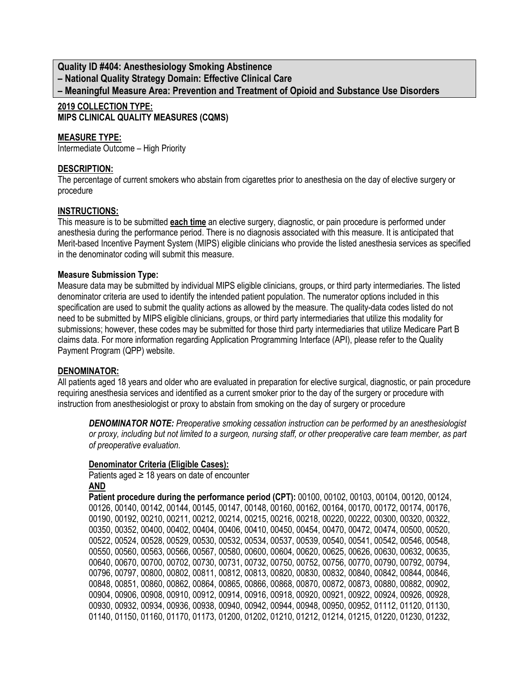**Quality ID #404: Anesthesiology Smoking Abstinence – National Quality Strategy Domain: Effective Clinical Care – Meaningful Measure Area: Prevention and Treatment of Opioid and Substance Use Disorders**

#### **2019 COLLECTION TYPE: MIPS CLINICAL QUALITY MEASURES (CQMS)**

### **MEASURE TYPE:**

Intermediate Outcome – High Priority

#### **DESCRIPTION:**

The percentage of current smokers who abstain from cigarettes prior to anesthesia on the day of elective surgery or procedure

#### **INSTRUCTIONS:**

This measure is to be submitted **each time** an elective surgery, diagnostic, or pain procedure is performed under anesthesia during the performance period. There is no diagnosis associated with this measure. It is anticipated that Merit-based Incentive Payment System (MIPS) eligible clinicians who provide the listed anesthesia services as specified in the denominator coding will submit this measure.

#### **Measure Submission Type:**

Measure data may be submitted by individual MIPS eligible clinicians, groups, or third party intermediaries. The listed denominator criteria are used to identify the intended patient population. The numerator options included in this specification are used to submit the quality actions as allowed by the measure. The quality-data codes listed do not need to be submitted by MIPS eligible clinicians, groups, or third party intermediaries that utilize this modality for submissions; however, these codes may be submitted for those third party intermediaries that utilize Medicare Part B claims data. For more information regarding Application Programming Interface (API), please refer to the Quality Payment Program (QPP) website.

#### **DENOMINATOR:**

All patients aged 18 years and older who are evaluated in preparation for elective surgical, diagnostic, or pain procedure requiring anesthesia services and identified as a current smoker prior to the day of the surgery or procedure with instruction from anesthesiologist or proxy to abstain from smoking on the day of surgery or procedure

*DENOMINATOR NOTE: Preoperative smoking cessation instruction can be performed by an anesthesiologist or proxy, including but not limited to a surgeon, nursing staff, or other preoperative care team member, as part of preoperative evaluation.*

#### **Denominator Criteria (Eligible Cases):**

Patients aged  $\geq$  18 years on date of encounter **AND**

**Patient procedure during the performance period (CPT):** 00100, 00102, 00103, 00104, 00120, 00124, 00126, 00140, 00142, 00144, 00145, 00147, 00148, 00160, 00162, 00164, 00170, 00172, 00174, 00176, 00190, 00192, 00210, 00211, 00212, 00214, 00215, 00216, 00218, 00220, 00222, 00300, 00320, 00322, 00350, 00352, 00400, 00402, 00404, 00406, 00410, 00450, 00454, 00470, 00472, 00474, 00500, 00520, 00522, 00524, 00528, 00529, 00530, 00532, 00534, 00537, 00539, 00540, 00541, 00542, 00546, 00548, 00550, 00560, 00563, 00566, 00567, 00580, 00600, 00604, 00620, 00625, 00626, 00630, 00632, 00635, 00640, 00670, 00700, 00702, 00730, 00731, 00732, 00750, 00752, 00756, 00770, 00790, 00792, 00794, 00796, 00797, 00800, 00802, 00811, 00812, 00813, 00820, 00830, 00832, 00840, 00842, 00844, 00846, 00848, 00851, 00860, 00862, 00864, 00865, 00866, 00868, 00870, 00872, 00873, 00880, 00882, 00902, 00904, 00906, 00908, 00910, 00912, 00914, 00916, 00918, 00920, 00921, 00922, 00924, 00926, 00928, 00930, 00932, 00934, 00936, 00938, 00940, 00942, 00944, 00948, 00950, 00952, 01112, 01120, 01130, 01140, 01150, 01160, 01170, 01173, 01200, 01202, 01210, 01212, 01214, 01215, 01220, 01230, 01232,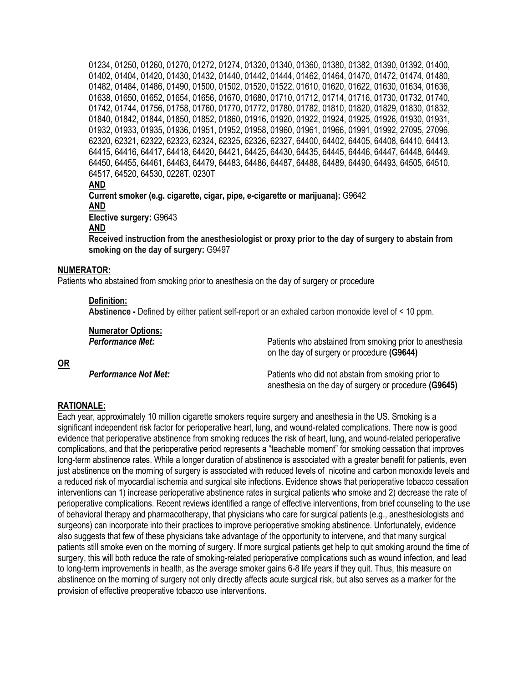01234, 01250, 01260, 01270, 01272, 01274, 01320, 01340, 01360, 01380, 01382, 01390, 01392, 01400, 01402, 01404, 01420, 01430, 01432, 01440, 01442, 01444, 01462, 01464, 01470, 01472, 01474, 01480, 01482, 01484, 01486, 01490, 01500, 01502, 01520, 01522, 01610, 01620, 01622, 01630, 01634, 01636, 01638, 01650, 01652, 01654, 01656, 01670, 01680, 01710, 01712, 01714, 01716, 01730, 01732, 01740, 01742, 01744, 01756, 01758, 01760, 01770, 01772, 01780, 01782, 01810, 01820, 01829, 01830, 01832, 01840, 01842, 01844, 01850, 01852, 01860, 01916, 01920, 01922, 01924, 01925, 01926, 01930, 01931, 01932, 01933, 01935, 01936, 01951, 01952, 01958, 01960, 01961, 01966, 01991, 01992, 27095, 27096, 62320, 62321, 62322, 62323, 62324, 62325, 62326, 62327, 64400, 64402, 64405, 64408, 64410, 64413, 64415, 64416, 64417, 64418, 64420, 64421, 64425, 64430, 64435, 64445, 64446, 64447, 64448, 64449, 64450, 64455, 64461, 64463, 64479, 64483, 64486, 64487, 64488, 64489, 64490, 64493, 64505, 64510, 64517, 64520, 64530, 0228T, 0230T **AND Current smoker (e.g. cigarette, cigar, pipe, e-cigarette or marijuana):** G9642 **AND Elective surgery:** G9643 **AND**

**Received instruction from the anesthesiologist or proxy prior to the day of surgery to abstain from smoking on the day of surgery:** G9497

#### **NUMERATOR:**

Patients who abstained from smoking prior to anesthesia on the day of surgery or procedure

#### **Definition:**

**Abstinence -** Defined by either patient self-report or an exhaled carbon monoxide level of < 10 ppm.

| <b>Numerator Options:</b>   | Patients who abstained from smoking prior to anesthesia                                                     |
|-----------------------------|-------------------------------------------------------------------------------------------------------------|
| <b>Performance Met:</b>     | on the day of surgery or procedure (G9644)                                                                  |
| <b>Performance Not Met:</b> | Patients who did not abstain from smoking prior to<br>anesthesia on the day of surgery or procedure (G9645) |

#### **RATIONALE:**

**OR**

Each year, approximately 10 million cigarette smokers require surgery and anesthesia in the US. Smoking is a significant independent risk factor for perioperative heart, lung, and wound-related complications. There now is good evidence that perioperative abstinence from smoking reduces the risk of heart, lung, and wound-related perioperative complications, and that the perioperative period represents a "teachable moment" for smoking cessation that improves long-term abstinence rates. While a longer duration of abstinence is associated with a greater benefit for patients, even just abstinence on the morning of surgery is associated with reduced levels of nicotine and carbon monoxide levels and a reduced risk of myocardial ischemia and surgical site infections. Evidence shows that perioperative tobacco cessation interventions can 1) increase perioperative abstinence rates in surgical patients who smoke and 2) decrease the rate of perioperative complications. Recent reviews identified a range of effective interventions, from brief counseling to the use of behavioral therapy and pharmacotherapy, that physicians who care for surgical patients (e.g., anesthesiologists and surgeons) can incorporate into their practices to improve perioperative smoking abstinence. Unfortunately, evidence also suggests that few of these physicians take advantage of the opportunity to intervene, and that many surgical patients still smoke even on the morning of surgery. If more surgical patients get help to quit smoking around the time of surgery, this will both reduce the rate of smoking-related perioperative complications such as wound infection, and lead to long-term improvements in health, as the average smoker gains 6-8 life years if they quit. Thus, this measure on abstinence on the morning of surgery not only directly affects acute surgical risk, but also serves as a marker for the provision of effective preoperative tobacco use interventions.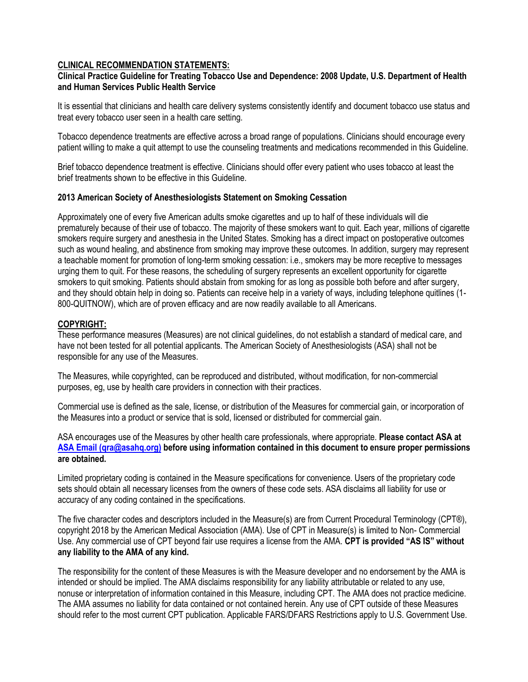### **CLINICAL RECOMMENDATION STATEMENTS:**

### **Clinical Practice Guideline for Treating Tobacco Use and Dependence: 2008 Update, U.S. Department of Health and Human Services Public Health Service**

It is essential that clinicians and health care delivery systems consistently identify and document tobacco use status and treat every tobacco user seen in a health care setting.

Tobacco dependence treatments are effective across a broad range of populations. Clinicians should encourage every patient willing to make a quit attempt to use the counseling treatments and medications recommended in this Guideline.

Brief tobacco dependence treatment is effective. Clinicians should offer every patient who uses tobacco at least the brief treatments shown to be effective in this Guideline.

#### **2013 American Society of Anesthesiologists Statement on Smoking Cessation**

Approximately one of every five American adults smoke cigarettes and up to half of these individuals will die prematurely because of their use of tobacco. The majority of these smokers want to quit. Each year, millions of cigarette smokers require surgery and anesthesia in the United States. Smoking has a direct impact on postoperative outcomes such as wound healing, and abstinence from smoking may improve these outcomes. In addition, surgery may represent a teachable moment for promotion of long-term smoking cessation: i.e., smokers may be more receptive to messages urging them to quit. For these reasons, the scheduling of surgery represents an excellent opportunity for cigarette smokers to quit smoking. Patients should abstain from smoking for as long as possible both before and after surgery, and they should obtain help in doing so. Patients can receive help in a variety of ways, including telephone quitlines (1- 800-QUITNOW), which are of proven efficacy and are now readily available to all Americans.

## **COPYRIGHT:**

These performance measures (Measures) are not clinical guidelines, do not establish a standard of medical care, and have not been tested for all potential applicants. The American Society of Anesthesiologists (ASA) shall not be responsible for any use of the Measures.

The Measures, while copyrighted, can be reproduced and distributed, without modification, for non-commercial purposes, eg, use by health care providers in connection with their practices.

Commercial use is defined as the sale, license, or distribution of the Measures for commercial gain, or incorporation of the Measures into a product or service that is sold, licensed or distributed for commercial gain.

ASA encourages use of the Measures by other health care professionals, where appropriate. **Please contact ASA at [ASA Email \(qra@asahq.org\)](mailto:qra@asahq.org) before using information contained in this document to ensure proper permissions are obtained.**

Limited proprietary coding is contained in the Measure specifications for convenience. Users of the proprietary code sets should obtain all necessary licenses from the owners of these code sets. ASA disclaims all liability for use or accuracy of any coding contained in the specifications.

The five character codes and descriptors included in the Measure(s) are from Current Procedural Terminology (CPT®), copyright 2018 by the American Medical Association (AMA). Use of CPT in Measure(s) is limited to Non- Commercial Use. Any commercial use of CPT beyond fair use requires a license from the AMA. **CPT is provided "AS IS" without any liability to the AMA of any kind.**

The responsibility for the content of these Measures is with the Measure developer and no endorsement by the AMA is intended or should be implied. The AMA disclaims responsibility for any liability attributable or related to any use, nonuse or interpretation of information contained in this Measure, including CPT. The AMA does not practice medicine. The AMA assumes no liability for data contained or not contained herein. Any use of CPT outside of these Measures should refer to the most current CPT publication. Applicable FARS/DFARS Restrictions apply to U.S. Government Use.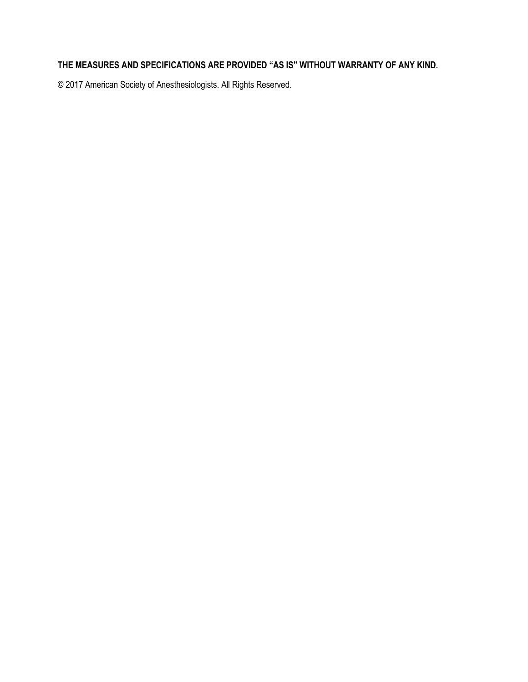# **THE MEASURES AND SPECIFICATIONS ARE PROVIDED "AS IS" WITHOUT WARRANTY OF ANY KIND.**

© 2017 American Society of Anesthesiologists. All Rights Reserved.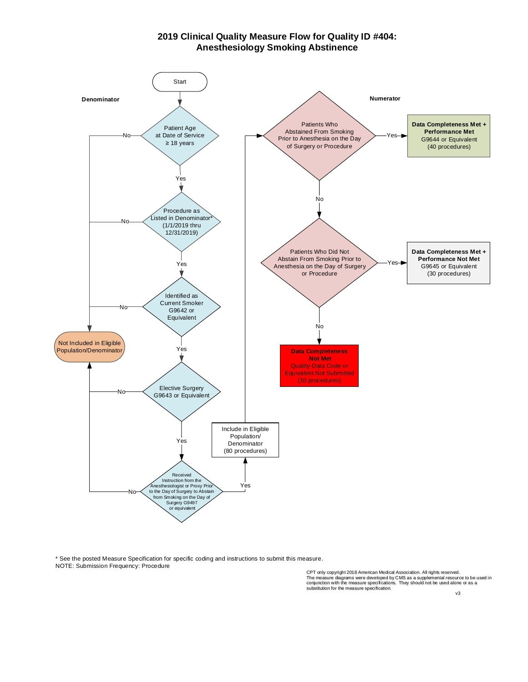#### **2019 Clinical Quality Measure Flow for Quality ID #404: Anesthesiology Smoking Abstinence**



\* See the posted Measure Specification for specific coding and instructions to submit this measure.

asure .<br>CPT only copyright 2018 American Medical Association. All rights reserved.<br>The measure diagrams were developed by CMS as a supplemental resource to be used in<br>conjunction with the measure specifications. They shoul substitution for the measure specification.

v3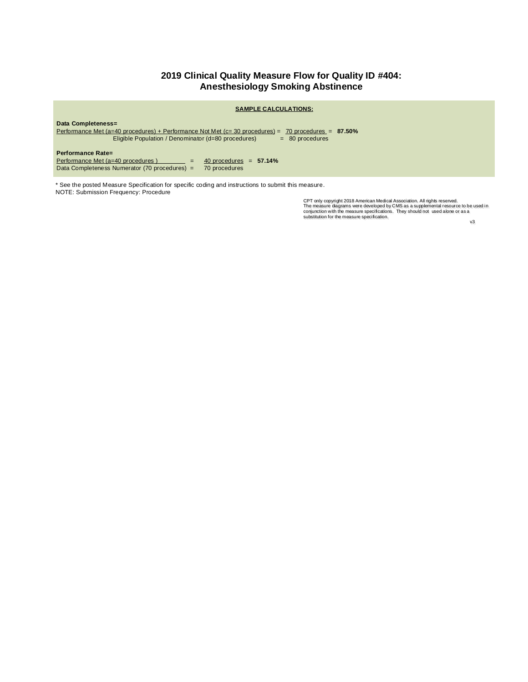## **2019 Clinical Quality Measure Flow for Quality ID #404: Anesthesiology Smoking Abstinence**

|                                                                                                                                                                                                               | <b>SAMPLE CALCULATIONS:</b>                |  |
|---------------------------------------------------------------------------------------------------------------------------------------------------------------------------------------------------------------|--------------------------------------------|--|
| Data Completeness=<br>Performance Met (a=40 procedures) + Performance Not Met (c= 30 procedures) =<br>$70$ procedures = $87.50\%$<br>Eligible Population / Denominator (d=80 procedures)<br>$= 80$ procedures |                                            |  |
| Performance Rate=<br>Performance Met (a=40 procedures)<br>$=$<br>Data Completeness Numerator (70 procedures) =                                                                                                | 40 procedures $= 57.14\%$<br>70 procedures |  |

\* See the posted Measure Specification for specific coding and instructions to submit this measure. NOTE: Submission Frequency: Procedure

easure.<br>CPT only copyright 2018 American Medical Association. All rights reserved.<br>The measure diagrams were developed by CMS as a supplemental resource to be used in<br>conjunction with the measure specification.<br>substitutio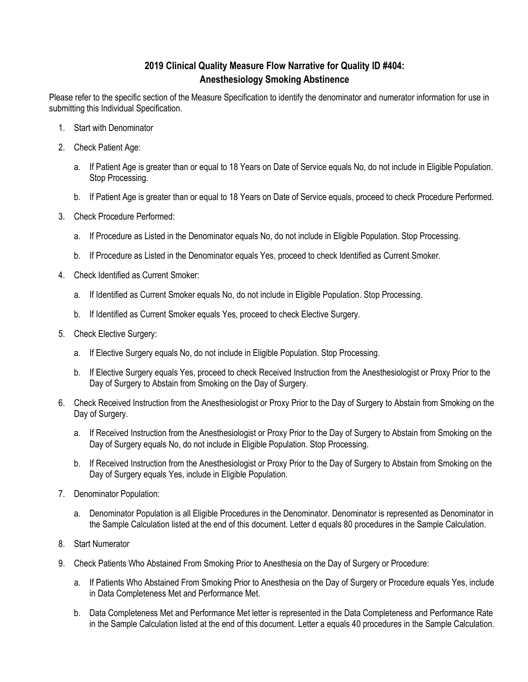# **2019 Clinical Quality Measure Flow Narrative for Quality ID #404: Anesthesiology Smoking Abstinence**

Please refer to the specific section of the Measure Specification to identify the denominator and numerator information for use in submitting this Individual Specification.

- 1. Start with Denominator
- 2. Check Patient Age:
	- a. If Patient Age is greater than or equal to 18 Years on Date of Service equals No, do not include in Eligible Population. Stop Processing.
	- b. If Patient Age is greater than or equal to 18 Years on Date of Service equals, proceed to check Procedure Performed.
- 3. Check Procedure Performed:
	- a. If Procedure as Listed in the Denominator equals No, do not include in Eligible Population. Stop Processing.
	- b. If Procedure as Listed in the Denominator equals Yes, proceed to check Identified as Current Smoker.
- 4. Check Identified as Current Smoker:
	- a. If Identified as Current Smoker equals No, do not include in Eligible Population. Stop Processing.
	- b. If Identified as Current Smoker equals Yes, proceed to check Elective Surgery.
- 5. Check Elective Surgery:
	- a. If Elective Surgery equals No, do not include in Eligible Population. Stop Processing.
	- b. If Elective Surgery equals Yes, proceed to check Received Instruction from the Anesthesiologist or Proxy Prior to the Day of Surgery to Abstain from Smoking on the Day of Surgery.
- 6. Check Received Instruction from the Anesthesiologist or Proxy Prior to the Day of Surgery to Abstain from Smoking on the Day of Surgery.
	- a. If Received Instruction from the Anesthesiologist or Proxy Prior to the Day of Surgery to Abstain from Smoking on the Day of Surgery equals No, do not include in Eligible Population. Stop Processing.
	- b. If Received Instruction from the Anesthesiologist or Proxy Prior to the Day of Surgery to Abstain from Smoking on the Day of Surgery equals Yes, include in Eligible Population.
- 7. Denominator Population:
	- a. Denominator Population is all Eligible Procedures in the Denominator. Denominator is represented as Denominator in the Sample Calculation listed at the end of this document. Letter d equals 80 procedures in the Sample Calculation.
- 8. Start Numerator
- 9. Check Patients Who Abstained From Smoking Prior to Anesthesia on the Day of Surgery or Procedure:
	- a. If Patients Who Abstained From Smoking Prior to Anesthesia on the Day of Surgery or Procedure equals Yes, include in Data Completeness Met and Performance Met.
	- b. Data Completeness Met and Performance Met letter is represented in the Data Completeness and Performance Rate in the Sample Calculation listed at the end of this document. Letter a equals 40 procedures in the Sample Calculation.